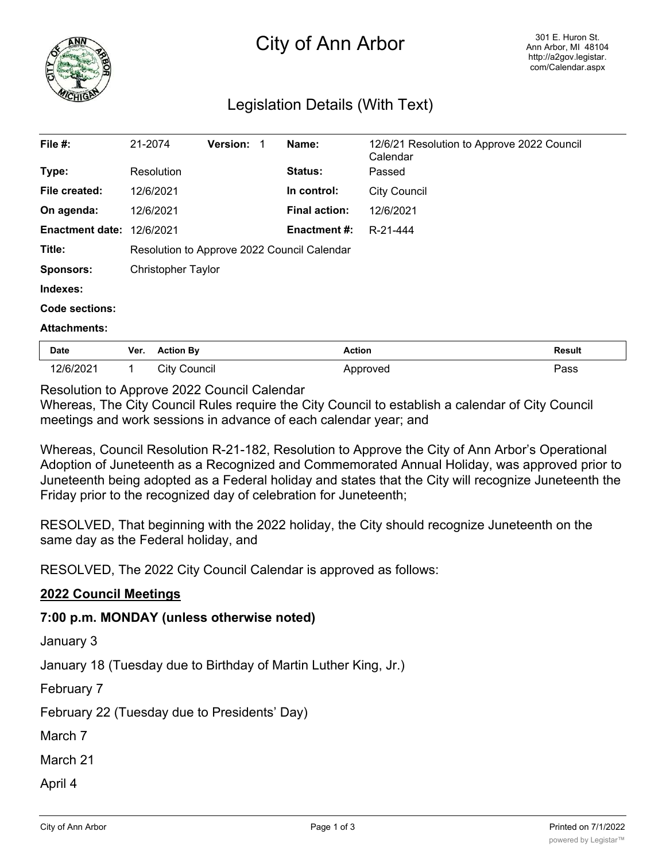

## City of Ann Arbor

## Legislation Details (With Text)

| File #:                | 21-2074                                     |                     | <b>Version: 1</b> |  | Name:                | 12/6/21 Resolution to Approve 2022 Council<br>Calendar |               |
|------------------------|---------------------------------------------|---------------------|-------------------|--|----------------------|--------------------------------------------------------|---------------|
| Type:                  |                                             | Resolution          |                   |  | <b>Status:</b>       | Passed                                                 |               |
| File created:          |                                             | 12/6/2021           |                   |  | In control:          | <b>City Council</b>                                    |               |
| On agenda:             |                                             | 12/6/2021           |                   |  | <b>Final action:</b> | 12/6/2021                                              |               |
| <b>Enactment date:</b> |                                             | 12/6/2021           |                   |  | <b>Enactment #:</b>  | R-21-444                                               |               |
| Title:                 | Resolution to Approve 2022 Council Calendar |                     |                   |  |                      |                                                        |               |
| <b>Sponsors:</b>       | <b>Christopher Taylor</b>                   |                     |                   |  |                      |                                                        |               |
| Indexes:               |                                             |                     |                   |  |                      |                                                        |               |
| Code sections:         |                                             |                     |                   |  |                      |                                                        |               |
| <b>Attachments:</b>    |                                             |                     |                   |  |                      |                                                        |               |
| Date                   | Ver.                                        | <b>Action By</b>    |                   |  | <b>Action</b>        |                                                        | <b>Result</b> |
| 12/6/2021              | 1                                           | <b>City Council</b> |                   |  |                      | Approved                                               | Pass          |

Resolution to Approve 2022 Council Calendar

Whereas, The City Council Rules require the City Council to establish a calendar of City Council meetings and work sessions in advance of each calendar year; and

Whereas, Council Resolution R-21-182, Resolution to Approve the City of Ann Arbor's Operational Adoption of Juneteenth as a Recognized and Commemorated Annual Holiday, was approved prior to Juneteenth being adopted as a Federal holiday and states that the City will recognize Juneteenth the Friday prior to the recognized day of celebration for Juneteenth;

RESOLVED, That beginning with the 2022 holiday, the City should recognize Juneteenth on the same day as the Federal holiday, and

RESOLVED, The 2022 City Council Calendar is approved as follows:

## **2022 Council Meetings**

## **7:00 p.m. MONDAY (unless otherwise noted)**

January 3

January 18 (Tuesday due to Birthday of Martin Luther King, Jr.)

February 7

February 22 (Tuesday due to Presidents' Day)

March 7

March 21

April 4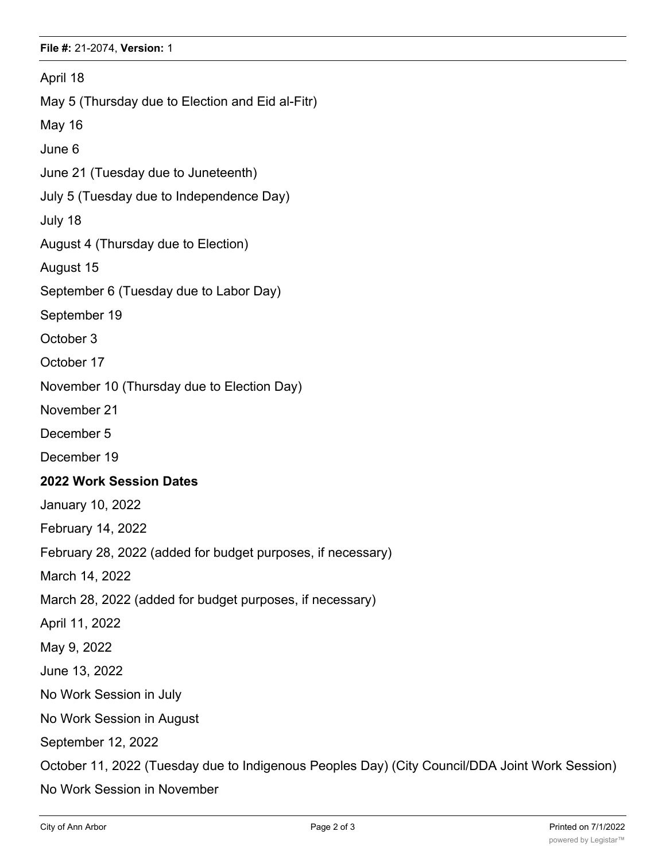April 18 May 5 (Thursday due to Election and Eid al-Fitr) May 16 June 6 June 21 (Tuesday due to Juneteenth) July 5 (Tuesday due to Independence Day) July 18 August 4 (Thursday due to Election) August 15 September 6 (Tuesday due to Labor Day) September 19 October 3 October 17 November 10 (Thursday due to Election Day) November 21 December 5 December 19 **2022 Work Session Dates** January 10, 2022 February 14, 2022 February 28, 2022 (added for budget purposes, if necessary) March 14, 2022 March 28, 2022 (added for budget purposes, if necessary) April 11, 2022 May 9, 2022 June 13, 2022 No Work Session in July No Work Session in August September 12, 2022 October 11, 2022 (Tuesday due to Indigenous Peoples Day) (City Council/DDA Joint Work Session) No Work Session in November